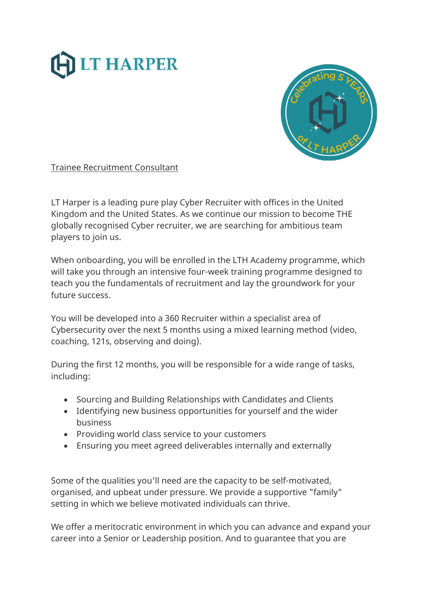



Trainee Recruitment Consultant

LT Harper is a leading pure play Cyber Recruiter with offices in the United Kingdom and the United States. As we continue our mission to become THE globally recognised Cyber recruiter, we are searching for ambitious team players to join us.

When onboarding, you will be enrolled in the LTH Academy programme, which will take you through an intensive four-week training programme designed to teach you the fundamentals of recruitment and lay the groundwork for your future success.

You will be developed into a 360 Recruiter within a specialist area of Cybersecurity over the next 5 months using a mixed learning method (video, coaching, 121s, observing and doing).

During the first 12 months, you will be responsible for a wide range of tasks, including:

- Sourcing and Building Relationships with Candidates and Clients
- Identifying new business opportunities for yourself and the wider business
- Providing world class service to your customers
- Ensuring you meet agreed deliverables internally and externally

Some of the qualities you'll need are the capacity to be self-motivated, organised, and upbeat under pressure. We provide a supportive "family" setting in which we believe motivated individuals can thrive.

We offer a meritocratic environment in which you can advance and expand your career into a Senior or Leadership position. And to guarantee that you are